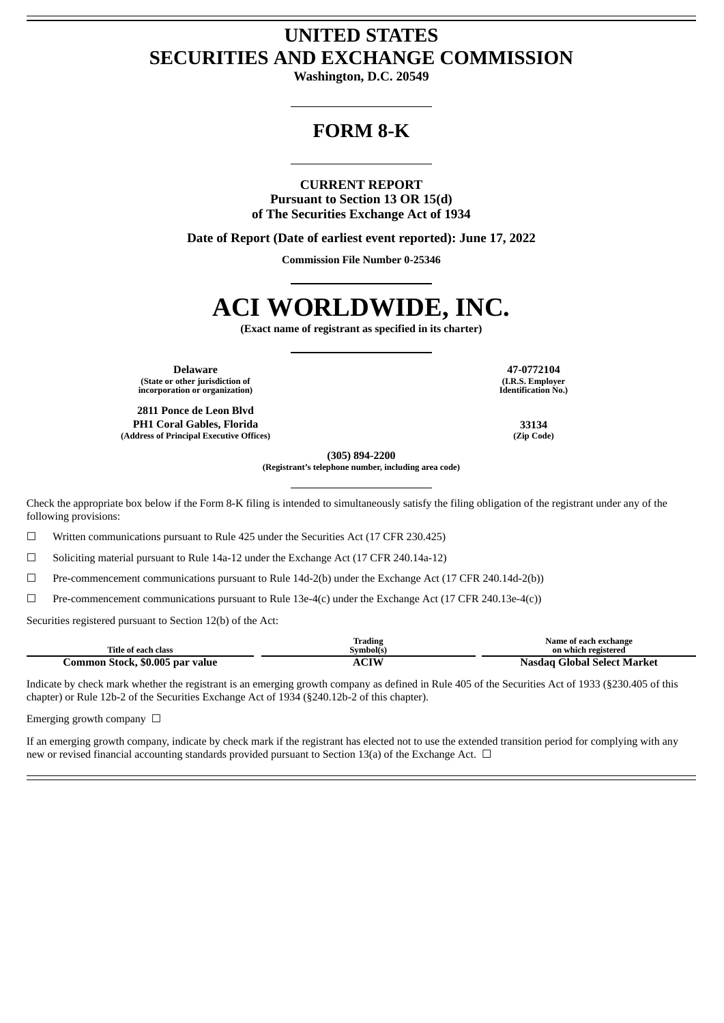# **UNITED STATES SECURITIES AND EXCHANGE COMMISSION**

**Washington, D.C. 20549**

## **FORM 8-K**

### **CURRENT REPORT**

**Pursuant to Section 13 OR 15(d) of The Securities Exchange Act of 1934**

**Date of Report (Date of earliest event reported): June 17, 2022**

**Commission File Number 0-25346**

# **ACI WORLDWIDE, INC.**

**(Exact name of registrant as specified in its charter)**

**Delaware 47-0772104 (State or other jurisdiction of incorporation or organization)**

**2811 Ponce de Leon Blvd PH1 Coral Gables, Florida 33134 (Address of Principal Executive Offices) (Zip Code)**

**(I.R.S. Employer Identification No.)**

**(305) 894-2200 (Registrant's telephone number, including area code)**

Check the appropriate box below if the Form 8-K filing is intended to simultaneously satisfy the filing obligation of the registrant under any of the following provisions:

☐ Written communications pursuant to Rule 425 under the Securities Act (17 CFR 230.425)

☐ Soliciting material pursuant to Rule 14a-12 under the Exchange Act (17 CFR 240.14a-12)

☐ Pre-commencement communications pursuant to Rule 14d-2(b) under the Exchange Act (17 CFR 240.14d-2(b))

 $\Box$  Pre-commencement communications pursuant to Rule 13e-4(c) under the Exchange Act (17 CFR 240.13e-4(c))

Securities registered pursuant to Section 12(b) of the Act:

|                                              | m.<br><b>Trading</b> | Name of each exchange             |
|----------------------------------------------|----------------------|-----------------------------------|
| Title of each class                          | Symbol(s             | on which registered               |
| \$0.005 par value<br>C <b>ommon Stock,</b> ! | CIM                  | Global Select Market<br>-Nasdag U |

Indicate by check mark whether the registrant is an emerging growth company as defined in Rule 405 of the Securities Act of 1933 (§230.405 of this chapter) or Rule 12b-2 of the Securities Exchange Act of 1934 (§240.12b-2 of this chapter).

Emerging growth company  $\Box$ 

If an emerging growth company, indicate by check mark if the registrant has elected not to use the extended transition period for complying with any new or revised financial accounting standards provided pursuant to Section 13(a) of the Exchange Act.  $\Box$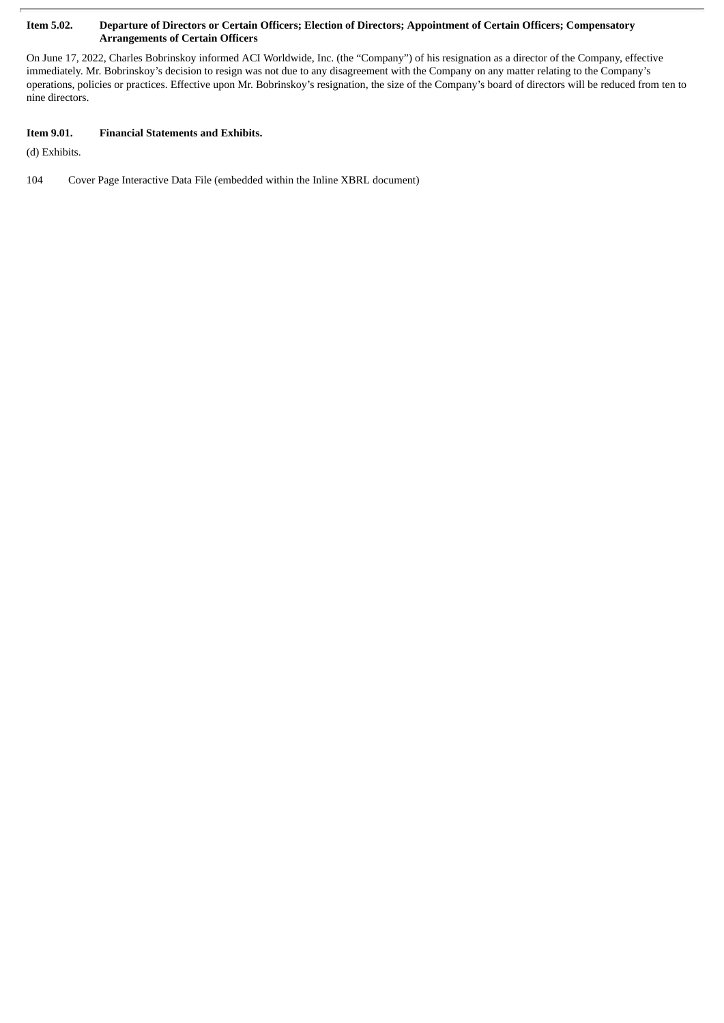#### Item 5.02. Departure of Directors or Certain Officers; Election of Directors; Appointment of Certain Officers; Compensatory **Arrangements of Certain Officers**

On June 17, 2022, Charles Bobrinskoy informed ACI Worldwide, Inc. (the "Company") of his resignation as a director of the Company, effective immediately. Mr. Bobrinskoy's decision to resign was not due to any disagreement with the Company on any matter relating to the Company's operations, policies or practices. Effective upon Mr. Bobrinskoy's resignation, the size of the Company's board of directors will be reduced from ten to nine directors.

### **Item 9.01. Financial Statements and Exhibits.**

(d) Exhibits.

104 Cover Page Interactive Data File (embedded within the Inline XBRL document)